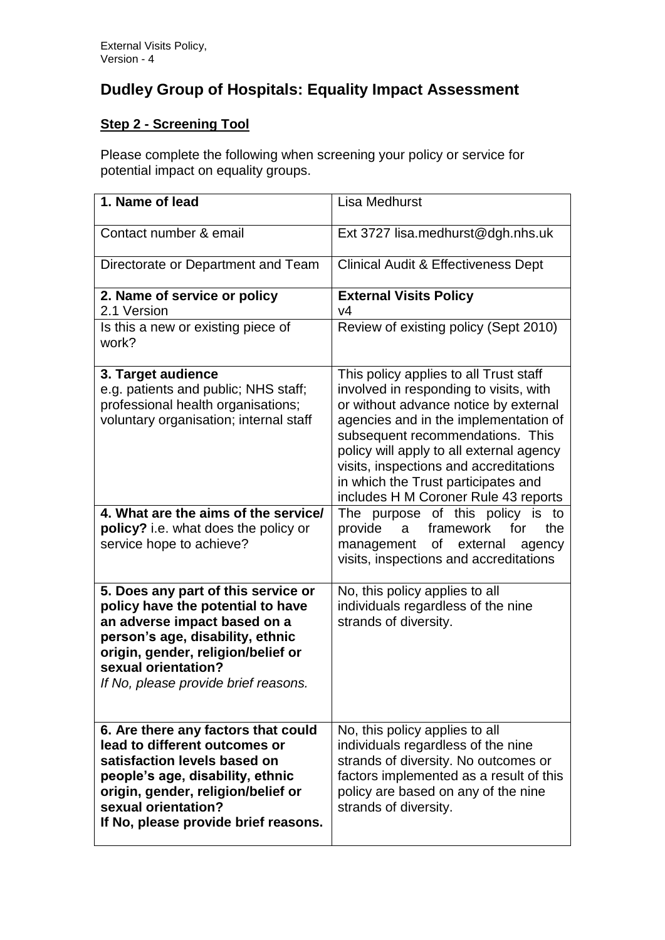## **Dudley Group of Hospitals: Equality Impact Assessment**

## **Step 2 - Screening Tool**

Please complete the following when screening your policy or service for potential impact on equality groups.

| 1. Name of lead                                                                                                                                                                                                                                   | <b>Lisa Medhurst</b>                                                                                                                                                                                                                                                                                                                                                        |
|---------------------------------------------------------------------------------------------------------------------------------------------------------------------------------------------------------------------------------------------------|-----------------------------------------------------------------------------------------------------------------------------------------------------------------------------------------------------------------------------------------------------------------------------------------------------------------------------------------------------------------------------|
| Contact number & email                                                                                                                                                                                                                            | Ext 3727 lisa.medhurst@dgh.nhs.uk                                                                                                                                                                                                                                                                                                                                           |
| Directorate or Department and Team                                                                                                                                                                                                                | <b>Clinical Audit &amp; Effectiveness Dept</b>                                                                                                                                                                                                                                                                                                                              |
| 2. Name of service or policy<br>2.1 Version                                                                                                                                                                                                       | <b>External Visits Policy</b><br>V <sub>4</sub>                                                                                                                                                                                                                                                                                                                             |
| Is this a new or existing piece of<br>work?                                                                                                                                                                                                       | Review of existing policy (Sept 2010)                                                                                                                                                                                                                                                                                                                                       |
| 3. Target audience<br>e.g. patients and public; NHS staff;<br>professional health organisations;<br>voluntary organisation; internal staff                                                                                                        | This policy applies to all Trust staff<br>involved in responding to visits, with<br>or without advance notice by external<br>agencies and in the implementation of<br>subsequent recommendations. This<br>policy will apply to all external agency<br>visits, inspections and accreditations<br>in which the Trust participates and<br>includes H M Coroner Rule 43 reports |
| 4. What are the aims of the service/<br>policy? i.e. what does the policy or<br>service hope to achieve?                                                                                                                                          | The purpose of this policy is to<br>a framework<br>provide<br>the<br>for<br>management of external<br>agency<br>visits, inspections and accreditations                                                                                                                                                                                                                      |
| 5. Does any part of this service or<br>policy have the potential to have<br>an adverse impact based on a<br>person's age, disability, ethnic<br>origin, gender, religion/belief or<br>sexual orientation?<br>If No, please provide brief reasons. | No, this policy applies to all<br>individuals regardless of the nine<br>strands of diversity.                                                                                                                                                                                                                                                                               |
| 6. Are there any factors that could<br>lead to different outcomes or<br>satisfaction levels based on<br>people's age, disability, ethnic<br>origin, gender, religion/belief or<br>sexual orientation?<br>If No, please provide brief reasons.     | No, this policy applies to all<br>individuals regardless of the nine<br>strands of diversity. No outcomes or<br>factors implemented as a result of this<br>policy are based on any of the nine<br>strands of diversity.                                                                                                                                                     |